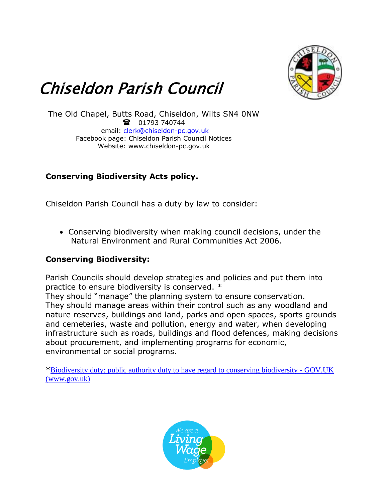

## Chiseldon Parish Council

The Old Chapel, Butts Road, Chiseldon, Wilts SN4 0NW 1793 740744 email: [clerk@chiseldon-pc.gov.uk](mailto:clerk@chiseldon-pc.gov.uk) Facebook page: Chiseldon Parish Council Notices Website: www.chiseldon-pc.gov.uk

## **Conserving Biodiversity Acts policy.**

Chiseldon Parish Council has a duty by law to consider:

• Conserving biodiversity when making council decisions, under the Natural Environment and Rural Communities Act 2006.

## **Conserving Biodiversity:**

Parish Councils should develop strategies and policies and put them into practice to ensure biodiversity is conserved. \*

They should "manage" the planning system to ensure conservation. They should manage areas within their control such as any woodland and nature reserves, buildings and land, parks and open spaces, sports grounds and cemeteries, waste and pollution, energy and water, when developing infrastructure such as roads, buildings and flood defences, making decisions about procurement, and implementing programs for economic, environmental or social programs.

\*[Biodiversity duty: public authority duty to have regard to conserving biodiversity -](https://www.gov.uk/guidance/biodiversity-duty-public-authority-duty-to-have-regard-to-conserving-biodiversity) GOV.UK [\(www.gov.uk\)](https://www.gov.uk/guidance/biodiversity-duty-public-authority-duty-to-have-regard-to-conserving-biodiversity)